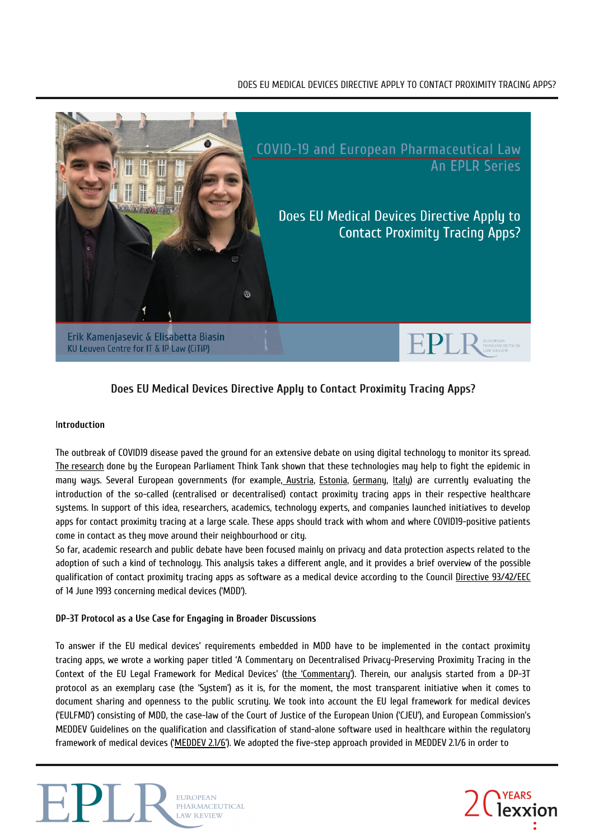# DOES EU MEDICAL DEVICES DIRECTIVE APPLY TO CONTACT PROXIMITY TRACING APPS?



# **Does EU Medical Devices Directive Apply to Contact Proximity Tracing Apps?**

#### I**ntroduction**

The outbreak of COVID19 disease paved the ground for an extensive debate on using digital technology to monitor its spread. The [research](https://www.europarl.europa.eu/RegData/etudes/BRIE/2020/649384/EPRS_BRI(2020)649384_EN.pdf) done by the European Parliament Think Tank shown that these technologies may help to fight the epidemic in many ways. Several European governments (for example, [Austria,](https://noyb.eu/sites/default/files/2020-04/en_-_press_release_0.pdf) [Estonia,](https://e-estonia.com/trace-covid-19-while-respecting-privacy/) [Germany,](https://www.reuters.com/article/us-health-coronavirus-europe-tech/germany-flips-on-smartphone-contact-tracing-backs-apple-and-google-idUSKCN22807J) [Italy](https://innovazione.gov.it/un-aggiornamento-sull-applicazione-di-contact-tracing-digitale-per-l-emergenza-coronavirus/)) are currently evaluating the introduction of the so-called (centralised or decentralised) contact proximity tracing apps in their respective healthcare systems. In support of this idea, researchers, academics, technology experts, and companies launched initiatives to develop apps for contact proximity tracing at a large scale. These apps should track with whom and where COVID19-positive patients come in contact as they move around their neighbourhood or city.

So far, academic research and public debate have been focused mainly on privacy and data protection aspects related to the adoption of such a kind of technology. This analysis takes a different angle, and it provides a brief overview of the possible qualification of contact proximity tracing apps as software as a medical device according to the Council Directive [93/42/EEC](https://eur-lex.europa.eu/LexUriServ/LexUriServ.do?uri=CONSLEG:1993L0042:20071011:EN:PDF) of 14 June 1993 concerning medical devices ('MDD').

## **DP-3T Protocol as a Use Case for Engaging in Broader Discussions**

To answer if the EU medical devices' requirements embedded in MDD have to be implemented in the contact proximity tracing apps, we wrote a working paper titled 'A Commentary on Decentralised Privacy-Preserving Proximity Tracing in the Context of the EU Legal Framework for Medical Devices' (the ['Commentary'](https://papers.ssrn.com/sol3/papers.cfm?abstract_id=3586418)). Therein, our analysis started from a DP-3T protocol as an exemplary case (the 'System') as it is, for the moment, the most transparent initiative when it comes to document sharing and openness to the public scrutiny. We took into account the EU legal framework for medical devices ('EULFMD') consisting of MDD, the case-law of the Court of Justice of the European Union ('CJEU'), and European Commission's MEDDEV Guidelines on the qualification and classification of stand-alone software used in healthcare within the regulatory framework of medical devices (['MEDDEV](https://ec.europa.eu/docsroom/documents/17921) 2.1/6'). We adopted the five-step approach provided in MEDDEV 2.1/6 in order to



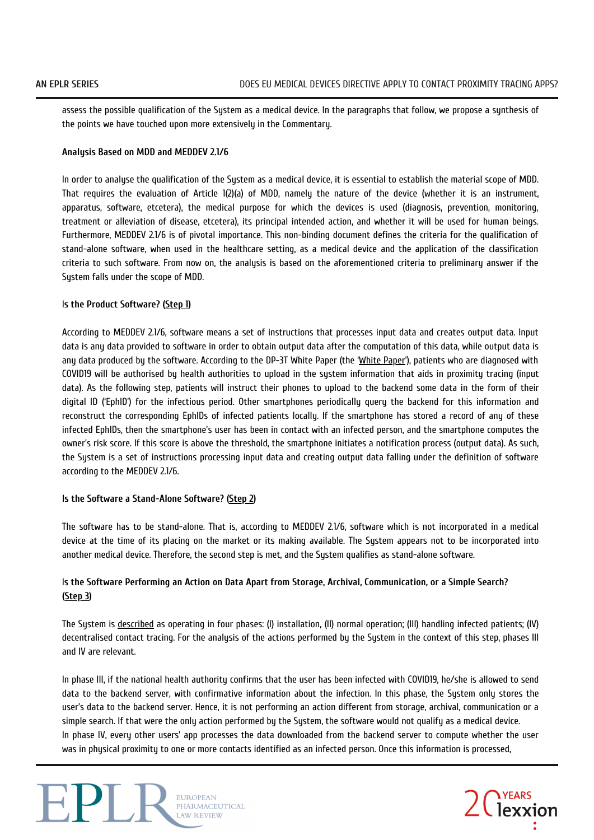assess the possible qualification of the System as a medical device. In the paragraphs that follow, we propose a synthesis of the points we have touched upon more extensively in the Commentary.

#### **Analysis Based on MDD and MEDDEV 2.1/6**

In order to analyse the qualification of the System as a medical device, it is essential to establish the material scope of MDD. That requires the evaluation of Article 1(2)(a) of MDD, namely the nature of the device (whether it is an instrument, apparatus, software, etcetera), the medical purpose for which the devices is used (diagnosis, prevention, monitoring, treatment or alleviation of disease, etcetera), its principal intended action, and whether it will be used for human beings. Furthermore, MEDDEV 2.1/6 is of pivotal importance. This non-binding document defines the criteria for the qualification of stand-alone software, when used in the healthcare setting, as a medical device and the application of the classification criteria to such software. From now on, the analysis is based on the aforementioned criteria to preliminary answer if the System falls under the scope of MDD.

## I**s the Product Software? ([Step](https://ec.europa.eu/docsroom/documents/17921) 1)**

According to MEDDEV 2.1/6, software means a set of instructions that processes input data and creates output data. Input data is any data provided to software in order to obtain output data after the computation of this data, while output data is any data produced by the software. According to the DP-3T White Paper (the 'White [Paper'](https://github.com/DP-3T/documents/blob/master/DP3T%20White%20Paper.pdf)), patients who are diagnosed with COVID19 will be authorised by health authorities to upload in the system information that aids in proximity tracing (input data). As the following step, patients will instruct their phones to upload to the backend some data in the form of their digital ID ('EphID') for the infectious period. Other smartphones periodically query the backend for this information and reconstruct the corresponding EphIDs of infected patients locally. If the smartphone has stored a record of any of these infected EphIDs, then the smartphone's user has been in contact with an infected person, and the smartphone computes the owner's risk score. If this score is above the threshold, the smartphone initiates a notification process (output data). As such, the System is a set of instructions processing input data and creating output data falling under the definition of software according to the MEDDEV 2.1/6.

#### **Is the Software a Stand-Alone Software? ([Step](https://ec.europa.eu/docsroom/documents/17921) 2)**

The software has to be stand-alone. That is, according to MEDDEV 2.1/6, software which is not incorporated in a medical device at the time of its placing on the market or its making available. The System appears not to be incorporated into another medical device. Therefore, the second step is met, and the System qualifies as stand-alone software.

# Is the Software Performing an Action on Data Apart from Storage, Archival, Communication, or a Simple Search? **([Step](https://ec.europa.eu/docsroom/documents/17921) 3)**

The System is [described](https://github.com/DP-3T/documents/blob/master/DP3T%20-%20Simplified%20Three%20Page%20Brief.pdf) as operating in four phases: (I) installation, (II) normal operation; (III) handling infected patients; (IV) decentralised contact tracing. For the analysis of the actions performed by the System in the context of this step, phases III and IV are relevant.

In phase III, if the national health authority confirms that the user has been infected with COVID19, he/she is allowed to send data to the backend server, with confirmative information about the infection. In this phase, the System only stores the user's data to the backend server. Hence, it is not performing an action different from storage, archival, communication or a simple search. If that were the only action performed by the System, the software would not qualify as a medical device. In phase IV, every other users' app processes the data downloaded from the backend server to compute whether the user was in physical proximity to one or more contacts identified as an infected person. Once this information is processed,



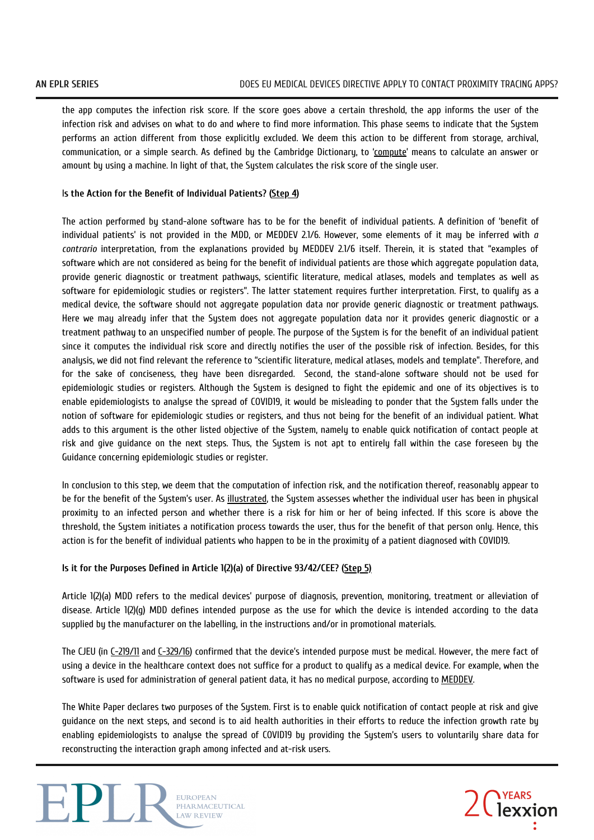the app computes the infection risk score. If the score goes above a certain threshold, the app informs the user of the infection risk and advises on what to do and where to find more information. This phase seems to indicate that the System performs an action different from those explicitly excluded. We deem this action to be different from storage, archival, communication, or a simple search. As defined by the Cambridge Dictionary, to ['compute'](https://dictionary.cambridge.org/) means to calculate an answer or amount by using a machine. In light of that, the System calculates the risk score of the single user.

## I**s the Action for the Benefit of Individual Patients? ([Step](https://ec.europa.eu/docsroom/documents/17921) 4)**

The action performed by stand-alone software has to be for the benefit of individual patients. A definition of 'benefit of individual patients' is not provided in the MDD, or MEDDEV 2.1/6. However, some elements of it may be inferred with *a contrario* interpretation, from the explanations provided by MEDDEV 2.1/6 itself. Therein, it is stated that "examples of software which are not considered as being for the benefit of individual patients are those which aggregate population data, provide generic diagnostic or treatment pathways, scientific literature, medical atlases, models and templates as well as software for epidemiologic studies or registers". The latter statement requires further interpretation. First, to qualify as a medical device, the software should not aggregate population data nor provide generic diagnostic or treatment pathways. Here we may already infer that the System does not aggregate population data nor it provides generic diagnostic or a treatment pathway to an unspecified number of people. The purpose of the System is for the benefit of an individual patient since it computes the individual risk score and directly notifies the user of the possible risk of infection. Besides, for this analysis, we did not find relevant the reference to "scientific literature, medical atlases, models and template". Therefore, and for the sake of conciseness, they have been disregarded. Second, the stand-alone software should not be used for epidemiologic studies or registers. Although the System is designed to fight the epidemic and one of its objectives is to enable epidemiologists to analyse the spread of COVID19, it would be misleading to ponder that the System falls under the notion of software for epidemiologic studies or registers, and thus not being for the benefit of an individual patient. What adds to this argument is the other listed objective of the System, namely to enable quick notification of contact people at risk and give guidance on the next steps. Thus, the Sustem is not apt to entirely fall within the case foreseen by the Guidance concerning epidemiologic studies or register.

In conclusion to this step, we deem that the computation of infection risk, and the notification thereof, reasonably appear to be for the benefit of the System's user. As [illustrated](https://github.com/DP-3T/documents/blob/master/DP3T%20-%20Simplified%20Three%20Page%20Brief.pdf), the System assesses whether the individual user has been in physical proximity to an infected person and whether there is a risk for him or her of being infected. If this score is above the threshold, the System initiates a notification process towards the user, thus for the benefit of that person only. Hence, this action is for the benefit of individual patients who happen to be in the proximity of a patient diagnosed with COVID19.

#### **Is it for the Purposes Defined in Article 1(2)(a) of Directive 93/42/CEE? [\(Step](https://ec.europa.eu/docsroom/documents/17921) 5)**

Article 1(2)(a) MDD refers to the medical devices' purpose of diagnosis, prevention, monitoring, treatment or alleviation of disease. Article 1(2)(g) MDD defines intended purpose as the use for which the device is intended according to the data supplied by the manufacturer on the labelling, in the instructions and/or in promotional materials.

The CJEU (in [C-219/11](http://curia.europa.eu/juris/liste.jsf?lgrec=fr&td=%3BALL&language=en&num=C-219%2F11&jur=C&fbclid=IwAR1-VN_MNNa_JoqvixkiPaanMXXq8fYt-chaqUB9nNmfw1ZNmLTVM7nF4L4) and [C-329/16](http://curia.europa.eu/juris/documents.jsf?num=C-329%2F16&fbclid=IwAR01aOfynJTwUi8DmUcbsVea_l-gUFz10fw3lSwaWOvaN3dhckZO4-4C_2M)) confirmed that the device's intended purpose must be medical. However, the mere fact of using a device in the healthcare context does not suffice for a product to qualify as a medical device. For example, when the software is used for administration of general patient data, it has no medical purpose, according to **MEDDEV**.

The White Paper declares two purposes of the System. First is to enable quick notification of contact people at risk and give guidance on the next steps, and second is to aid health authorities in their efforts to reduce the infection growth rate by enabling epidemiologists to analyse the spread of COVID19 by providing the System's users to voluntarily share data for reconstructing the interaction graph among infected and at-risk users.